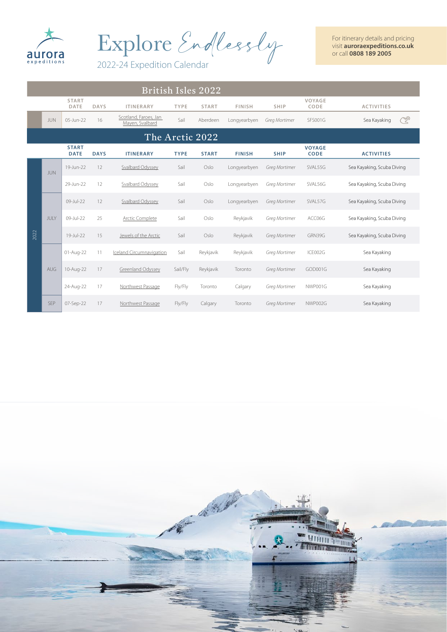

Explore Endlessly

For itinerary details and pricing visit **auroraexpeditions.co.uk** or call **0808 189 2005**

2022-24 Expedition Calendar

|      | <b>British Isles 2022</b> |                             |             |                                          |             |                 |               |               |                              |                            |  |
|------|---------------------------|-----------------------------|-------------|------------------------------------------|-------------|-----------------|---------------|---------------|------------------------------|----------------------------|--|
|      |                           | <b>START</b><br>DATE        | <b>DAYS</b> | <b>ITINERARY</b>                         | <b>TYPE</b> | <b>START</b>    | <b>FINISH</b> | <b>SHIP</b>   | VOYAGE<br>CODE               | <b>ACTIVITIES</b>          |  |
|      | <b>JUN</b>                | 05-Jun-22                   | 16          | Scotland, Faroes, Jan<br>Mayen, Svalbard | Sail        | Aberdeen        | Longyearbyen  | Greg Mortimer | <b>SFS001G</b>               | <u>R</u><br>Sea Kayaking   |  |
|      |                           |                             |             |                                          |             | The Arctic 2022 |               |               |                              |                            |  |
|      |                           | <b>START</b><br><b>DATE</b> | <b>DAYS</b> | <b>ITINERARY</b>                         | <b>TYPE</b> | <b>START</b>    | <b>FINISH</b> | <b>SHIP</b>   | <b>VOYAGE</b><br><b>CODE</b> | <b>ACTIVITIES</b>          |  |
|      | <b>JUN</b>                | 19-Jun-22                   | 12          | Svalbard Odyssey                         | Sail        | Oslo            | Longyearbyen  | Greg Mortimer | SVAL55G                      | Sea Kayaking, Scuba Diving |  |
|      |                           | 29-Jun-22                   | 12          | Svalbard Odyssey                         | Sail        | Oslo            | Longyearbyen  | Greg Mortimer | SVAL56G                      | Sea Kayaking, Scuba Diving |  |
|      | JULY                      | 09-Jul-22                   | 12          | Svalbard Odyssey                         | Sail        | Oslo            | Longyearbyen  | Greg Mortimer | SVAL57G                      | Sea Kayaking, Scuba Diving |  |
|      |                           | 09-Jul-22                   | 25          | Arctic Complete                          | Sail        | Oslo            | Reykjavik     | Greg Mortimer | ACC06G                       | Sea Kayaking, Scuba Diving |  |
| 2022 |                           | 19-Jul-22                   | 15          | Jewels of the Arctic                     | Sail        | Oslo            | Reykjavik     | Greg Mortimer | GRN39G                       | Sea Kayaking, Scuba Diving |  |
|      |                           | 01-Aug-22                   | 11          | Iceland Circumnavigation                 | Sail        | Reykjavik       | Reykjavik     | Greg Mortimer | ICE002G                      | Sea Kayaking               |  |
|      | AUG                       | 10-Aug-22                   | 17          | Greenland Odyssey                        | Sail/Fly    | Reykjavik       | Toronto       | Greg Mortimer | GOD001G                      | Sea Kayaking               |  |
|      |                           | 24-Aug-22                   | 17          | Northwest Passage                        | Fly/Fly     | Toronto         | Calgary       | Greg Mortimer | NWP001G                      | Sea Kayaking               |  |
|      | <b>SEP</b>                | 07-Sep-22                   | 17          | Northwest Passage                        | Fly/Fly     | Calgary         | Toronto       | Greg Mortimer | NWP002G                      | Sea Kayaking               |  |

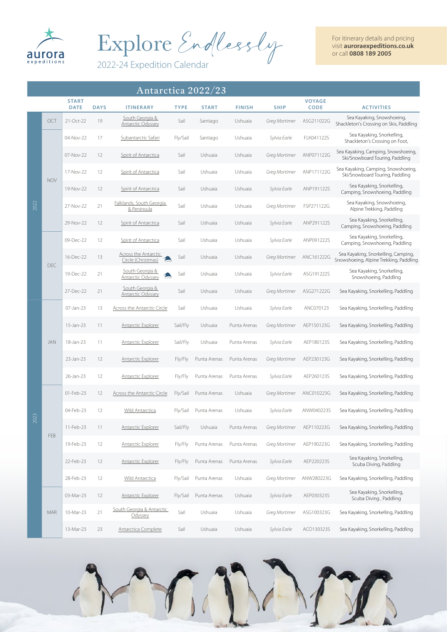

Explore Endlessly

2022-24 Expedition Calendar

For itinerary details and pricing visit **auroraexpeditions.co.uk** or call **0808 189 2005**

|      | Antarctica 2022/23 |                             |             |                                                |             |              |               |               |                              |                                                                               |
|------|--------------------|-----------------------------|-------------|------------------------------------------------|-------------|--------------|---------------|---------------|------------------------------|-------------------------------------------------------------------------------|
|      |                    | <b>START</b><br><b>DATE</b> | <b>DAYS</b> | <b>ITINERARY</b>                               | <b>TYPE</b> | <b>START</b> | <b>FINISH</b> | <b>SHIP</b>   | <b>VOYAGE</b><br><b>CODE</b> | <b>ACTIVITIES</b>                                                             |
|      | OCT                | 21-Oct-22                   | 19          | South Georgia &<br><b>Antarctic Odyssey</b>    | Sail        | Santiago     | Ushuaia       | Greg Mortimer | ASG211022G                   | Sea Kayaking, Snowshoeing,<br>Shackleton's Crossing on Skis, Paddling         |
|      |                    | 04-Nov-22                   | 17          | Subantarctic Safari                            | Fly/Sail    | Santiago     | Ushuaia       | Sylvia Earle  | FLK041122S                   | Sea Kayaking, Snorkelling,<br>Shackleton's Crossing on Foot,                  |
|      |                    | 07-Nov-22                   | 12          | Spirit of Antarctica                           | Sail        | Ushuaia      | Ushuaia       | Greg Mortimer | ANP071122G                   | Sea Kayaking, Camping, Snowshoeing,<br>Ski/Snowboard Touring, Paddling        |
|      | <b>NOV</b>         | 17-Nov-22                   | 12          | Spirit of Antarctica                           | Sail        | Ushuaia      | Ushuaia       | Greg Mortimer | ANP171122G                   | Sea Kayaking, Camping, Snowshoeing,<br>Ski/Snowboard Touring, Paddling        |
|      |                    | 19-Nov-22                   | 12          | Spirit of Antarctica                           | Sail        | Ushuaia      | Ushuaia       | Sylvia Earle  | ANP191122S                   | Sea Kayaking, Snorkelling,<br>Camping, Snowshoeing, Paddling                  |
| 2022 |                    | 27-Nov-22                   | 21          | <b>Falklands, South Georgia</b><br>& Peninsula | Sail        | Ushuaia      | Ushuaia       | Greg Mortimer | FSP271122G                   | Sea Kayaking, Snowshoeing,<br>Alpine Trekking, Paddling                       |
|      |                    | 29-Nov-22                   | 12          | Spirit of Antarctica                           | Sail        | Ushuaia      | Ushuaia       | Sylvia Earle  | ANP291122S                   | Sea Kayaking, Snorkelling,<br>Camping, Snowshoeing, Paddling                  |
|      |                    | 09-Dec-22                   | 12          | Spirit of Antarctica                           | Sail        | Ushuaia      | Ushuaia       | Sylvia Earle  | ANP091222S                   | Sea Kayaking, Snorkelling,<br>Camping, Snowshoeing, Paddling                  |
|      | DEC                | 16-Dec-22                   | 13          | Across the Antarctic<br>Circle (Christmas)     | Sail        | Ushuaia      | Ushuaia       | Greg Mortimer | ANC161222G                   | Sea Kayaking, Snorkelling, Camping,<br>Snowshoeing, Alpine Trekking, Paddling |
|      |                    | 19-Dec-22                   | 21          | South Georgia &<br>Antarctic Odyssey           | Sail        | Ushuaia      | Ushuaia       | Sylvia Earle  | ASG191222S                   | Sea Kayaking, Snorkelling,<br>Snowshoeing, Paddling                           |
|      |                    | 27-Dec-22                   | 21          | South Georgia &<br><b>Antarctic Odyssey</b>    | Sail        | Ushuaia      | Ushuaia       | Greg Mortimer | ASG271222G                   | Sea Kayaking, Snorkelling, Paddling                                           |
|      |                    | 07-Jan-23                   | 13          | <b>Across the Antarctic Circle</b>             | Sail        | Ushuaia      | Ushuaia       | Sylvia Earle  | ANC070123                    | Sea Kayaking, Snorkelling, Paddling                                           |
|      |                    | 15-Jan-23                   | 11          | <b>Antarctic Explorer</b>                      | Sail/Fly    | Ushuaia      | Punta Arenas  | Greg Mortimer | AEP150123G                   | Sea Kayaking, Snorkelling, Paddling                                           |
|      | JAN                | 18-Jan-23                   | 11          | <b>Antarctic Explorer</b>                      | Sail/Fly    | Ushuaia      | Punta Arenas  | Sylvia Earle  | AEP180123S                   | Sea Kayaking, Snorkelling, Paddling                                           |
|      |                    | 23-Jan-23                   | 12          | <b>Antarctic Explorer</b>                      | Fly/Fly     | Punta Arenas | Punta Arenas  | Greg Mortimer | AEP230123G                   | Sea Kayaking, Snorkelling, Paddling                                           |
|      |                    | 26-Jan-23                   | 12          | <b>Antarctic Explorer</b>                      | Fly/Fly     | Punta Arenas | Punta Arenas  | Sylvia Earle  | AEP260123S                   | Sea Kayaking, Snorkelling, Paddling                                           |
|      |                    | 01-Feb-23                   | 12          | Across the Antarctic Circle                    | Fly/Sail    | Punta Arenas | Ushuaia       | Greg Mortimer | ANC010223G                   | Sea Kayaking, Snorkelling, Paddling                                           |
| 2023 |                    | 04-Feb-23                   | 12          | <b>Wild Antarctica</b>                         | Fly/Sail    | Punta Arenas | Ushuaia       | Sylvia Earle  | ANW040223S                   | Sea Kayaking, Snorkelling, Paddling                                           |
|      | FEB                | 11-Feb-23                   | 11          | <b>Antarctic Explorer</b>                      | Sail/Fly    | Ushuaia      | Punta Arenas  | Greg Mortimer | AEP110223G                   | Sea Kayaking, Snorkelling, Paddling                                           |
|      |                    | 19-Feb-23                   | 12          | Antarctic Explorer                             | Fly/Fly     | Punta Arenas | Punta Arenas  | Greg Mortimer | AEP190223G                   | Sea Kayaking, Snorkelling, Paddling                                           |
|      |                    | 22-Feb-23                   | 12          | <b>Antarctic Explorer</b>                      | Fly/Fly     | Punta Arenas | Punta Arenas  | Sylvia Earle  | AEP220223S                   | Sea Kayaking, Snorkelling,<br>Scuba Diving, Paddling                          |
|      |                    | 28-Feb-23                   | 12          | <b>Wild Antarctica</b>                         | Fly/Sail    | Punta Arenas | Ushuaia       | Greg Mortimer | ANW280223G                   | Sea Kayaking, Snorkelling, Paddling                                           |
|      |                    | 03-Mar-23                   | 12          | <b>Antarctic Explorer</b>                      | Fly/Sail    | Punta Arenas | Ushuaia       | Sylvia Earle  | AEP030323S                   | Sea Kayaking, Snorkelling,<br>Scuba Diving, Paddling                          |
|      | MAR                | 10-Mar-23                   | 21          | South Georgia & Antarctic<br>Odyssey           | Sail        | Ushuaia      | Ushuaia       | Greg Mortimer | ASG100323G                   | Sea Kayaking, Snorkelling, Paddling                                           |
|      |                    | 13-Mar-23                   | 23          | Antarctica Complete                            | Sail        | Ushuaia      | Ushuaia       | Sylvia Earle  | ACO130323S                   | Sea Kayaking, Snorkelling, Paddling                                           |

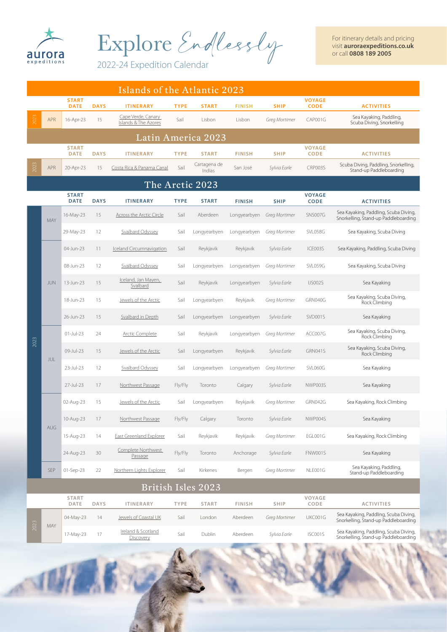

Explore Endlessly

For itinerary details and pricing visit **auroraexpeditions.co.uk** or call **0808 189 2005**

2022-24 Expedition Calendar

|                    | Islands of the Atlantic 2023 |                             |             |                                            |             |                        |               |               |                              |                                                                               |  |
|--------------------|------------------------------|-----------------------------|-------------|--------------------------------------------|-------------|------------------------|---------------|---------------|------------------------------|-------------------------------------------------------------------------------|--|
|                    |                              | <b>START</b><br><b>DATE</b> | <b>DAYS</b> | <b>ITINERARY</b>                           | <b>TYPE</b> | <b>START</b>           | <b>FINISH</b> | <b>SHIP</b>   | <b>VOYAGE</b><br><b>CODE</b> | <b>ACTIVITIES</b>                                                             |  |
| 2023               | <b>APR</b>                   | 16-Apr-23                   | 15          | Cape Verde, Canary<br>Islands & The Azores | Sail        | Lisbon                 | Lisbon        | Greg Mortimer | CAP001G                      | Sea Kayaking, Paddling,<br>Scuba Diving, Snorkelling                          |  |
|                    |                              |                             |             |                                            |             | Latin America 2023     |               |               |                              |                                                                               |  |
|                    |                              | <b>START</b><br><b>DATE</b> | <b>DAYS</b> | <b>ITINERARY</b>                           | <b>TYPE</b> | <b>START</b>           | <b>FINISH</b> | <b>SHIP</b>   | <b>VOYAGE</b><br><b>CODE</b> | <b>ACTIVITIES</b>                                                             |  |
| 202                | <b>APR</b>                   | 20-Apr-23                   | 15          | Costa Rica & Panama Canal                  | Sail        | Cartagena de<br>Indias | San José      | Sylvia Earle  | CRP003S                      | Scuba Diving, Paddling, Snorkelling,<br>Stand-up Paddleboarding               |  |
|                    |                              |                             |             |                                            |             | The Arctic 2023        |               |               |                              |                                                                               |  |
|                    |                              | <b>START</b><br><b>DATE</b> | <b>DAYS</b> | <b>ITINERARY</b>                           | <b>TYPE</b> | <b>START</b>           | <b>FINISH</b> | <b>SHIP</b>   | <b>VOYAGE</b><br><b>CODE</b> | <b>ACTIVITIES</b>                                                             |  |
|                    | MAY                          | 16-May-23                   | 15          | <b>Across the Arctic Circle</b>            | Sail        | Aberdeen               | Longyearbyen  | Greg Mortimer | SNS007G                      | Sea Kayaking, Paddling, Scuba Diving,<br>Snorkelling, Stand-up Paddleboarding |  |
|                    |                              | 29-May-23                   | 12          | Svalbard Odyssev                           | Sail        | Longyearbyen           | Longyearbyen  | Greg Mortimer | SVL058G                      | Sea Kayaking, Scuba Diving                                                    |  |
|                    |                              | 04-Jun-23                   | 11          | <b>Iceland Circumnavigation</b>            | Sail        | Reykjavik              | Reykjavik     | Sylvia Earle  | ICE003S                      | Sea Kayaking, Paddling, Scuba Diving                                          |  |
|                    |                              | 08-Jun-23                   | 12          | Svalbard Odyssey                           | Sail        | Longyearbyen           | Longyearbyen  | Greg Mortimer | SVL059G                      | Sea Kayaking, Scuba Diving                                                    |  |
|                    | <b>JUN</b>                   | 13-Jun-23                   | 15          | Iceland, Jan Mayen,<br>Svalbard            | Sail        | Reykjavik              | Longyearbyen  | Sylvia Earle  | <b>IJS002S</b>               | Sea Kayaking                                                                  |  |
|                    |                              | 18-Jun-23                   | 15          | Jewels of the Arctic                       | Sail        | Longyearbyen           | Reykjavik     | Greg Mortimer | GRN040G                      | Sea Kayaking, Scuba Diving,<br>Rock Climbing                                  |  |
|                    |                              | 26-Jun-23                   | 15          | Svalbard in Depth                          | Sail        | Longyearbyen           | Longyearbyen  | Sylvia Earle  | SVD001S                      | Sea Kayaking                                                                  |  |
| 2023               | JUL                          | $01$ -Jul-23                | 24          | <b>Arctic Complete</b>                     | Sail        | Reykjavik              | Longyearbyen  | Greg Mortimer | ACC007G                      | Sea Kayaking, Scuba Diving,<br>Rock Climbing                                  |  |
|                    |                              | 09-Jul-23                   | 15          | Jewels of the Arctic                       | Sail        | Longyearbyen           | Reykjavik     | Sylvia Earle  | GRN041S                      | Sea Kayaking, Scuba Diving,<br>Rock Climbing                                  |  |
|                    |                              | 23-Jul-23                   | 12          | Svalbard Odyssey                           | Sail        | Longyearbyen           | Longyearbyen  | Greg Mortimer | SVL060G                      | Sea Kayaking                                                                  |  |
|                    |                              | 27-Jul-23                   | 17          | Northwest Passage                          | Fly/Fly     | Toronto                | Calgary       | Sylvia Earle  | NWP003S                      | Sea Kayaking                                                                  |  |
|                    |                              | 02-Aug-23                   | 15          | Jewels of the Arctic                       | Sail        | Longyearbyen           | Reykjavik     | Greg Mortimer | GRN042G                      | Sea Kayaking, Rock Climbing                                                   |  |
|                    | AUG                          | 10-Aug-23                   | 17          | Northwest Passage                          | Fly/Fly     | Calgary                | Toronto       | Sylvia Earle  | NWP004S                      | Sea Kayaking                                                                  |  |
|                    |                              | 15-Aug-23                   | 14          | East Greenland Explorer                    | Sail        | Reykjavik              | Reykjavik     | Greg Mortimer | EGL001G                      | Sea Kayaking, Rock Climbing                                                   |  |
|                    |                              | 24-Aug-23                   | 30          | Complete Northwest<br>Passage              | Fly/Fly     | Toronto                | Anchorage     | Sylvia Earle  | FNW001S                      | Sea Kayaking                                                                  |  |
|                    | <b>SEP</b>                   | 01-Sep-23                   | 22          | Northern Lights Explorer                   | Sail        | Kirkenes               | Bergen        | Greg Mortimer | NLE001G                      | Sea Kayaking, Paddling,<br>Stand-up Paddleboarding                            |  |
| British Isles 2023 |                              |                             |             |                                            |             |                        |               |               |                              |                                                                               |  |
|                    |                              | <b>START</b><br>DATE        | <b>DAYS</b> | <b>ITINERARY</b>                           | TYPE        | <b>START</b>           | <b>FINISH</b> | <b>SHIP</b>   | VOYAGE<br>CODE               | <b>ACTIVITIES</b>                                                             |  |
|                    |                              | 04-May-23                   | 14          | Jewels of Coastal UK                       | Sail        | London                 | Aberdeen      | Greg Mortimer | UKC001G                      | Sea Kayaking, Paddling, Scuba Diving,<br>Snorkelling, Stand-up Paddleboarding |  |
| 2023               | MAY                          | 17-May-23                   | 17          | Ireland & Scotland<br>Discovery            | Sail        | Dublin                 | Aberdeen      | Sylvia Earle  | ISC001S                      | Sea Kayaking, Paddling, Scuba Diving,<br>Snorkelling, Stand-up Paddleboarding |  |
|                    |                              |                             |             |                                            |             |                        |               |               |                              | <b>STATE OF BRIDE</b>                                                         |  |